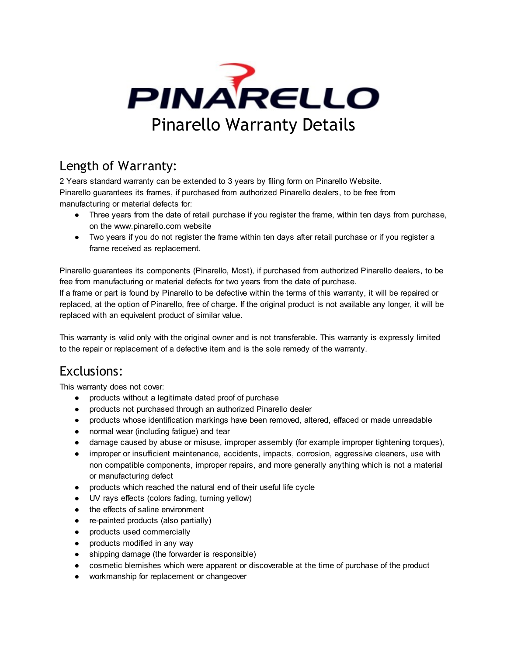

## Length of Warranty:

2 Years standard warranty can be extended to 3 years by filing form on Pinarello Website. Pinarello guarantees its frames, if purchased from authorized Pinarello dealers, to be free from manufacturing or material defects for:

- Three years from the date of retail purchase if you register the frame, within ten days from purchase, on the www.pinarello.com website
- Two years if you do not register the frame within ten days after retail purchase or if you register a frame received as replacement.

Pinarello guarantees its components (Pinarello, Most), if purchased from authorized Pinarello dealers, to be free from manufacturing or material defects for two years from the date of purchase.

If a frame or part is found by Pinarello to be defective within the terms of this warranty, it will be repaired or replaced, at the option of Pinarello, free of charge. If the original product is not available any longer, it will be replaced with an equivalent product of similar value.

This warranty is valid only with the original owner and is not transferable. This warranty is expressly limited to the repair or replacement of a defective item and is the sole remedy of the warranty.

## Exclusions:

This warranty does not cover:

- products without a legitimate dated proof of purchase
- products not purchased through an authorized Pinarello dealer
- products whose identification markings have been removed, altered, effaced or made unreadable
- normal wear (including fatigue) and tear
- damage caused by abuse or misuse, improper assembly (for example improper tightening torques),
- improper or insufficient maintenance, accidents, impacts, corrosion, aggressive cleaners, use with non compatible components, improper repairs, and more generally anything which is not a material or manufacturing defect
- products which reached the natural end of their useful life cycle
- UV rays effects (colors fading, turning yellow)
- the effects of saline environment
- re-painted products (also partially)
- products used commercially
- products modified in any way
- shipping damage (the forwarder is responsible)
- cosmetic blemishes which were apparent or discoverable at the time of purchase of the product
- workmanship for replacement or changeover